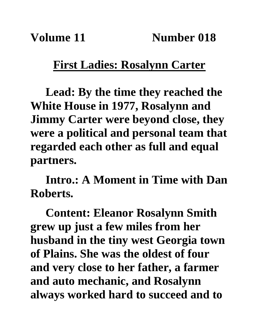## **First Ladies: Rosalynn Carter**

**Lead: By the time they reached the White House in 1977, Rosalynn and Jimmy Carter were beyond close, they were a political and personal team that regarded each other as full and equal partners.** 

**Intro.: A Moment in Time with Dan Roberts.** 

**Content: Eleanor Rosalynn Smith grew up just a few miles from her husband in the tiny west Georgia town of Plains. She was the oldest of four and very close to her father, a farmer and auto mechanic, and Rosalynn always worked hard to succeed and to**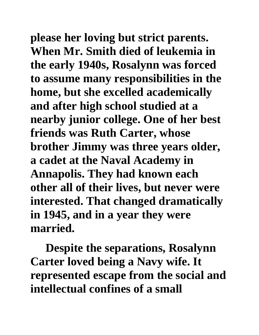**please her loving but strict parents. When Mr. Smith died of leukemia in the early 1940s, Rosalynn was forced to assume many responsibilities in the home, but she excelled academically and after high school studied at a nearby junior college. One of her best friends was Ruth Carter, whose brother Jimmy was three years older, a cadet at the Naval Academy in Annapolis. They had known each other all of their lives, but never were interested. That changed dramatically in 1945, and in a year they were married.** 

**Despite the separations, Rosalynn Carter loved being a Navy wife. It represented escape from the social and intellectual confines of a small**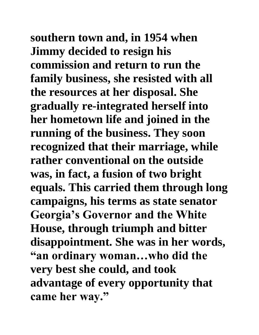**southern town and, in 1954 when Jimmy decided to resign his commission and return to run the family business, she resisted with all the resources at her disposal. She gradually re-integrated herself into her hometown life and joined in the running of the business. They soon recognized that their marriage, while rather conventional on the outside was, in fact, a fusion of two bright equals. This carried them through long campaigns, his terms as state senator Georgia's Governor and the White House, through triumph and bitter disappointment. She was in her words, "an ordinary woman…who did the very best she could, and took advantage of every opportunity that came her way."**